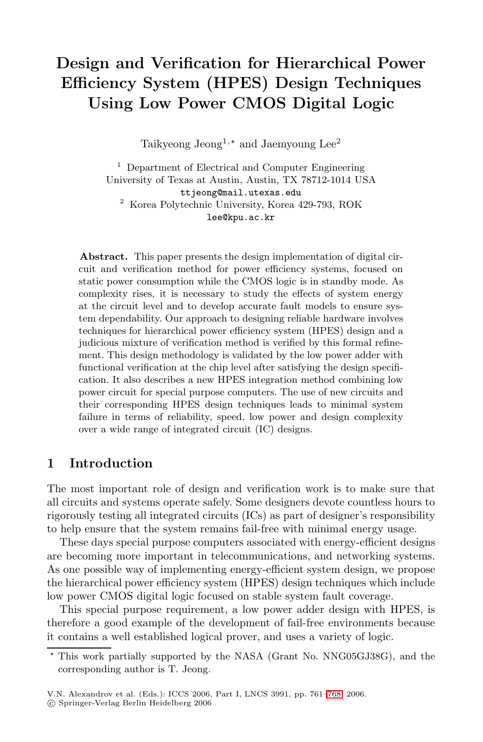# **Design and Verification for Hierarchical Power Efficiency System (HPES) Design Techniques Using Low Power CMOS Digital Logic**

Taikyeong Jeong<sup>1,\*</sup> and Jaemyoung Lee<sup>2</sup>

<sup>1</sup> Department of Electrical and Computer Engineering University of Texas at Austin, Austin, TX 78712-1014 USA ttjeong@mail.utexas.edu <sup>2</sup> Korea Polytechnic University, Korea 429-793, ROK lee@kpu.ac.kr

**Abstract.** This paper presents the design implementation of digital circuit and verification method for power efficiency systems, focused on static power consumption while the CMOS logic is in standby mode. As complexity rises, it is necessary to study the effects of system energy at the circuit level and to develop accurate fault models to ensure system dependability. Our approach to designing reliable hardware involves techniques for hierarchical power efficiency system (HPES) design and a judicious mixture of verification method is verified by this formal refinement. This design methodology is validated by the low power adder with functional verification at the chip level after satisfying the design specification. It also describes a new HPES integration method combining low power circuit for special purpose computers. The use of new circuits and their corresponding HPES design techniques leads to minimal system failure in terms of reliability, speed, low power and design complexity over a wide range of integrated circuit (IC) designs.

#### **1 Introduction**

The most important role of design and verification work is to make sure that all circuits and systems operate safely. Some designers devote countless hours to rigorously testing all integrated circuits (ICs) as part of designer's responsibility to help ensure that the system remains fail-free with minimal energy usage.

These days special purpose computers associated with energy-efficient designs are becoming more important in telecommunications, and networking systems. As one possible way of implementing energy-efficient system design, we propose the hierarchical power efficiency system (HPES) design techniques which include low power CMOS digital logic focused [on](#page-7-0) stable system fault coverage.

This special purpose requirement, a low power adder design with HPES, is therefore a good example of the development of fail-free environments because it contains a well established logical prover, and uses a variety of logic.

 $\star$  This work partially supported by the NASA (Grant No. NNG05GJ38G), and the corresponding author is T. Jeong.

V.N. Alexandrov et al. (Eds.): ICCS 2006, Part I, LNCS 3991, pp. 761–768, 2006.

<sup>-</sup>c Springer-Verlag Berlin Heidelberg 2006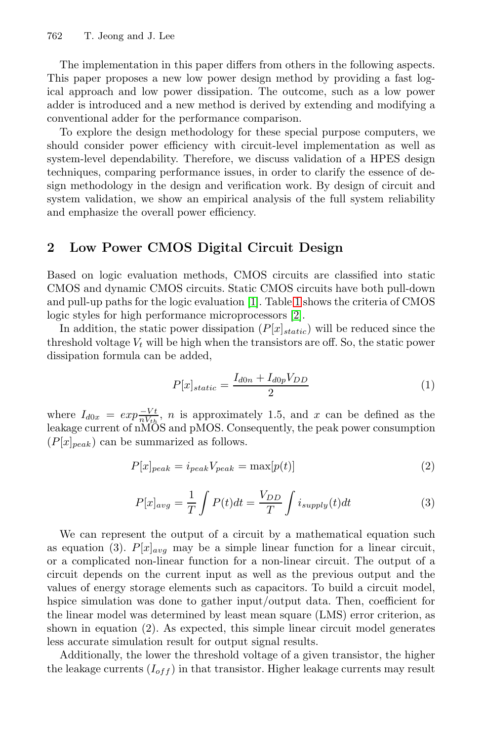#### 762 T. Jeong and J. Lee

The implementation in this paper differs from others in the following aspects. This paper proposes a new low power design method by providing a fast logical approach and low power dissipation. The outcome, such as a low power adder is introduced and a new method is derived by extending and modifying a conventional adder for the performance comparison.

To explore the design methodology for these special purpose computers, we should consider power efficiency with circuit-level implementation as well as system-level dependability. Therefore, we discuss validation of a HPES design techniques, comparing performance issues, in order to clarify the essence of design methodology in the design and verification work. By design of circuit and system validation, we [sh](#page-7-1)ow an [em](#page-2-0)pirical analysis of the full system reliability and emphasize the overall pow[er](#page-7-2) efficiency.

## **2 Low Power CMOS Digital Circuit Design**

Based on logic evaluation methods, CMOS circuits are classified into static CMOS and dynamic CMOS circuits. Static CMOS circuits have both pull-down and pull-up paths for the logic evaluation [1]. Table 1 shows the criteria of CMOS logic styles for high performance microprocessors [2].

In addition, the static power dissipation  $(P[x]_{static})$  will be reduced since the threshold voltage  $V_t$  will be high when the transistors are off. So, the static power dissipation formula can be added,

$$
P[x]_{static} = \frac{I_{d0n} + I_{d0p}V_{DD}}{2} \tag{1}
$$

where  $I_{d0x} = exp\frac{-Vt}{nV_{th}}$ , *n* is approximately 1.5, and *x* can be defined as the leakage current of nMOS and pMOS. Consequently, the peak power consumption  $(P[x]_{peak})$  can be summarized as follows.

$$
P[x]_{peak} = i_{peak}V_{peak} = \max[p(t)]
$$
\n(2)

$$
P[x]_{avg} = \frac{1}{T} \int P(t)dt = \frac{V_{DD}}{T} \int i_{supply}(t)dt
$$
\n(3)

We can represent the output of a circuit by a mathematical equation such as equation (3).  $P[x]_{avg}$  may be a simple linear function for a linear circuit, or a complicated non-linear function for a non-linear circuit. The output of a circuit depends on the current input as well as the previous output and the values of energy storage elements such as capacitors. To build a circuit model, hspice simulation was done to gather input/output data. Then, coefficient for the linear model was determined by least mean square (LMS) error criterion, as shown in equation (2). As expected, this simple linear circuit model generates less accurate simulation result for output signal results.

Additionally, the lower the threshold voltage of a given transistor, the higher the leakage currents  $(I_{off})$  in that transistor. Higher leakage currents may result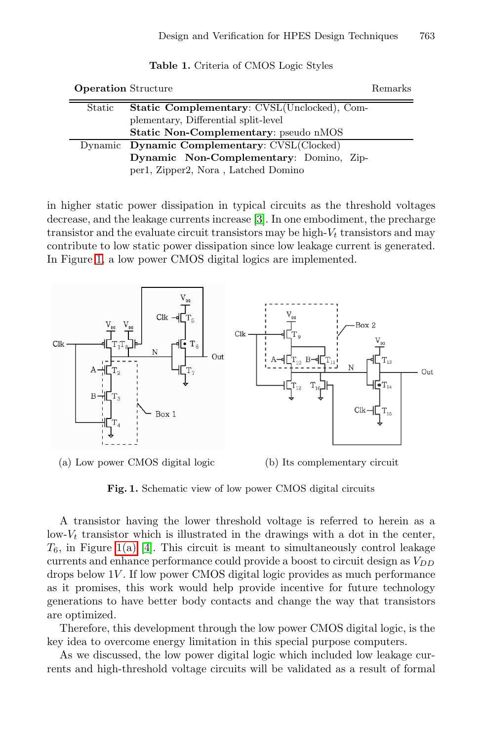<span id="page-2-0"></span>

| <b>Table 1.</b> Criteria of CMOS Logic Styles |                                                     |  |  |  |  |  |  |  |
|-----------------------------------------------|-----------------------------------------------------|--|--|--|--|--|--|--|
| <b>Operation</b> Structure<br><b>Remarks</b>  |                                                     |  |  |  |  |  |  |  |
| Static                                        | <b>Static Complementary: CVSL</b> (Unclocked), Com- |  |  |  |  |  |  |  |
|                                               | plementary, Differential split-level                |  |  |  |  |  |  |  |
|                                               | <b>Static Non-Complementary:</b> pseudo nMOS        |  |  |  |  |  |  |  |
|                                               | Dynamic Dynamic Complementary: CVSL(Clocked)        |  |  |  |  |  |  |  |
|                                               | Dynamic Non-Complementary: Domino, Zip-             |  |  |  |  |  |  |  |
|                                               | per1, Zipper2, Nora, Latched Domino                 |  |  |  |  |  |  |  |

in higher static power dissipation in typical circuits as the threshold voltages decrease, and the leakage currents increase [3]. In one embodiment, the precharge transistor and the evaluate circuit transistors may be high- $V_t$  transistors and may contribute to low static power dissipation since low leakage current is generated. In Figure 1, a low power CMOS digital logics are implemented.



(a) Low power CMOS digital logic (b) Its complementary circuit

**Fig. 1.** Schematic view of low power CMOS digital circuits

A transistor having the lower threshold voltage is referred to herein as a low- $V_t$  transistor which is illustrated in the drawings with a dot in the center,  $T_6$ , in Figure 1(a) [4]. This circuit is meant to simultaneously control leakage currents and enhance performance could provide a boost to circuit design as  $V_{DD}$ drops below 1V . If low power CMOS digital logic provides as much performance as it promises, this work would help provide incentive for future technology generations to have better body contacts and change the way that transistors are optimized.

Therefore, this development through the low power CMOS digital logic, is the key idea to overcome energy limitation in this special purpose computers.

As we discussed, the low power digital logic which included low leakage currents and high-threshold voltage circuits will be validated as a result of formal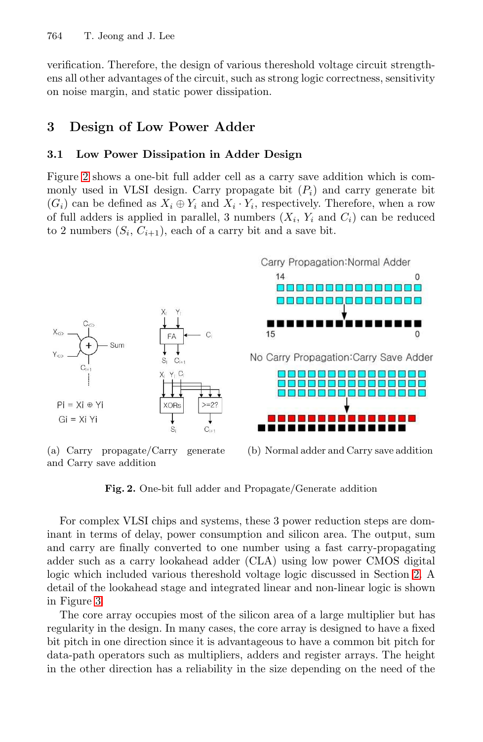#### 764 T. Jeong and J. Lee

verification. Therefore, the design of various thereshold voltage circuit strengthens all other advantages of the circuit, such as strong logic correctness, sensitivity on noise margin, and static power dissipation.

## **3 Design of Low Power Adder**

#### **3.1 Low Power Dissipation in Adder Design**

Figure 2 shows a one-bit full adder cell as a carry save addition which is commonly used in VLSI design. Carry propagate bit  $(P_i)$  and carry generate bit  $(G_i)$  can be defined as  $X_i \oplus Y_i$  and  $X_i \cdot Y_i$ , respectively. Therefore, when a row of full adders is applied in parallel, 3 numbers  $(X_i, Y_i \text{ and } C_i)$  can be reduced to 2 numbers  $(S_i, C_{i+1})$ , each of a carry bit and a save bit.



(a) Carry propagate/Carry generate and Carry save addition

(b) Normal adder and Carry save addition

**Fig. 2.** One-bit full adder and Propagate/Generate addition

For complex VLSI chips and systems, these 3 power reduction steps are dominant in terms of delay, power consumption and silicon area. The output, sum and carry are finally converted to one number using a fast carry-propagating adder such as a carry lookahead adder (CLA) using low power CMOS digital logic which included various thereshold voltage logic discussed in Section 2. A detail of the lookahead stage and integrated linear and non-linear logic is shown in Figure 3.

The core array occupies most of the silicon area of a large multiplier but has regularity in the design. In many cases, the core array is designed to have a fixed bit pitch in one direction since it is advantageous to have a common bit pitch for data-path operators such as multipliers, adders and register arrays. The height in the other direction has a reliability in the size depending on the need of the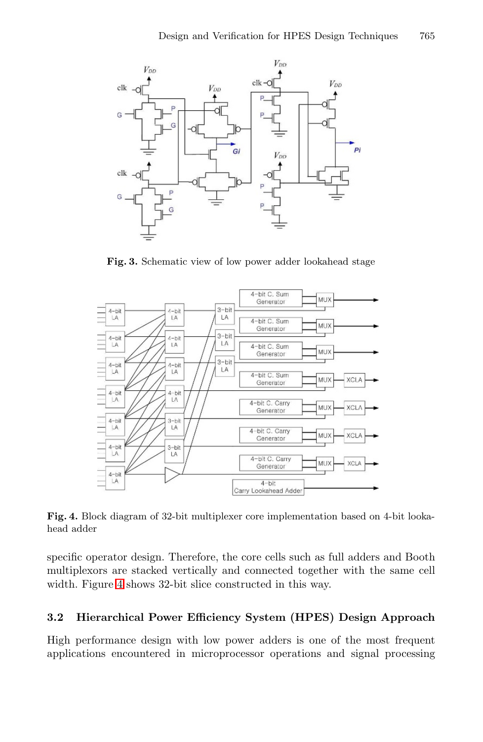

**Fig. 3.** Schematic view of low power adder lookahead stage



**Fig. 4.** Block diagram of 32-bit multiplexer core implementation based on 4-bit lookahead adder

specific operator design. Therefore, the core cells such as full adders and Booth multiplexors are stacked vertically and connected together with the same cell width. Figure 4 shows 32-bit slice constructed in this way.

### **3.2 Hierarchical Power Efficiency System (HPES) Design Approach**

High performance design with low power adders is one of the most frequent applications encountered in microprocessor operations and signal processing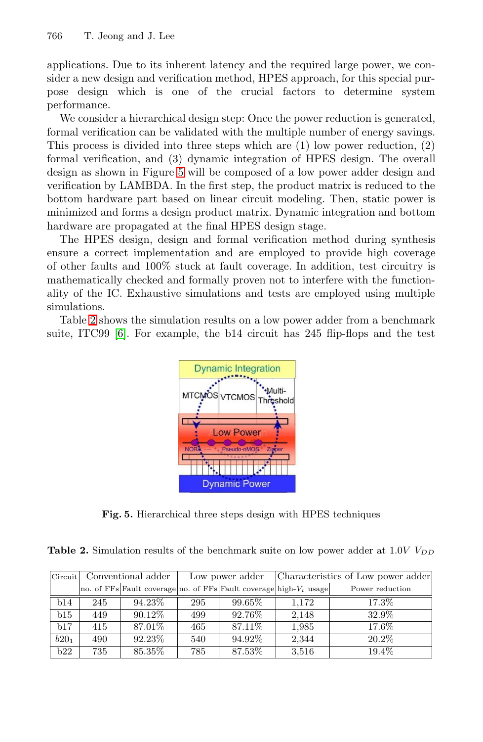766 T. Jeong and J. Lee

applica[tio](#page-5-0)ns. Due to its inherent latency and the required large power, we consider a new design and verification method, HPES approach, for this special purpose design which is one of the crucial factors to determine system performance.

We consider a hierarchical design step: Once the power reduction is generated, formal verification can be validated with the multiple number of energy savings. This process is divided into three steps which are (1) low power reduction, (2) formal verification, and (3) dynamic integration of HPES design. The overall design as shown in Figure 5 will be composed of a low power adder design and verification by LAMBDA. In the first step, the product matrix is reduced to the bottom hardware part based on linear circuit modeling. Then, static power is minimized and forms a design product matrix. Dynamic integration and bottom hardware are propagated at the final HPES design stage.

The HPES design, design and formal verification method during synthesis ensure a correct implementation and are employed to provide high coverage of other faults and 100% stuck at fault coverage. In addition, test circuitry is mathematically checked and formally proven not to interfere with the functionality of the IC. Exhaustive simulations and tests are employed using multiple simulations.

<span id="page-5-0"></span>Table 2 shows the simulation results on a low power adder from a benchmark suite, ITC99 [6]. For example, the b14 circuit has 245 flip-flops and the test



**Fig. 5.** Hierarchical three steps design with HPES techniques

|  | <b>Table 2.</b> Simulation results of the benchmark suite on low power adder at 1.0V $V_{DD}$ |  |  |  |  |  |  |  |  |  |  |  |
|--|-----------------------------------------------------------------------------------------------|--|--|--|--|--|--|--|--|--|--|--|
|--|-----------------------------------------------------------------------------------------------|--|--|--|--|--|--|--|--|--|--|--|

|                  | Circuit Conventional adder |         |     | Low power adder                                                       | Characteristics of Low power adder |                 |  |
|------------------|----------------------------|---------|-----|-----------------------------------------------------------------------|------------------------------------|-----------------|--|
|                  |                            |         |     | no. of FFs Fault coverage no. of FFs Fault coverage high- $V_t$ usage |                                    | Power reduction |  |
| b14              | 245                        | 94.23\% | 295 | 99.65%                                                                | 1.172                              | 17.3%           |  |
| b15              | 449                        | 90.12\% | 499 | 92.76%                                                                | 2,148                              | 32.9%           |  |
| b17              | 415                        | 87.01%  | 465 | 87.11\%                                                               | 1,985                              | 17.6%           |  |
| b20 <sub>1</sub> | 490                        | 92.23%  | 540 | 94.92%                                                                | 2,344                              | 20.2%           |  |
| b22              | 735                        | 85.35%  | 785 | 87.53%                                                                | 3,516                              | 19.4%           |  |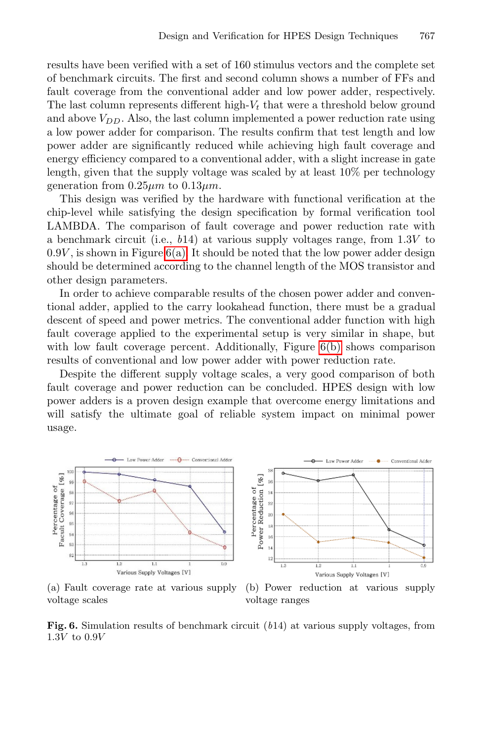results have been verified with a set of 160 stimulus vectors and the complete set of benchmark circuits. The first and second column shows a number of FFs and fault coverage from the conventional adder and low power adder, respectively. The last column represents different high- $V_t$  that were a threshold below ground and above  $V_{DD}$ . Also, the last column implemented a power reduction rate using a low power adder for comparison. The results confirm that test length and low powe[r add](#page-6-0)er are significantly reduced while achieving high fault coverage and energy efficiency compared to a conventional adder, with a slight increase in gate length, given that the supply voltage was scaled by at least 10% per technology generation from  $0.25 \mu m$  to  $0.13 \mu m$ .

This design was verified by the hardware with functional verification at the chip-level while satisfying the design specification by formal verification tool LAMBDA. The comparison of fault coverage and power reduction rate with a benchmark circuit (i.e.,  $b14$ ) at v[arious](#page-6-1) supply voltages range, from  $1.3V$  to  $0.9V$ , is shown in Figure  $6(a)$ . It should be noted that the low power adder design should be determined according to the channel length of the MOS transistor and other design parameters.

In order to achieve comparable results of the chosen power adder and conventional adder, applied to the carry lookahead function, there must be a gradual descent of speed and power metrics. The conventional adder function with high fault coverage applied to the experimental setup is very similar in shape, but with low fault coverage percent. Additionally, Figure 6(b) shows comparison results of conventional and low power adder with power reduction rate.

<span id="page-6-0"></span>Despite the different supply voltage scales, a very good comparison of both fault coverage and power reduction can be concluded. HPES design with low power adders is a proven design example that overcome energy limitations and will satisfy the ultimate goal of reliable system impact on minimal power usage.

<span id="page-6-1"></span>

(a) Fault coverage rate at various supply voltage scales

(b) Power reduction at various supply voltage ranges

**Fig. 6.** Simulation results of benchmark circuit (b14) at various supply voltages, from  $1.3V$  to  $0.9V$